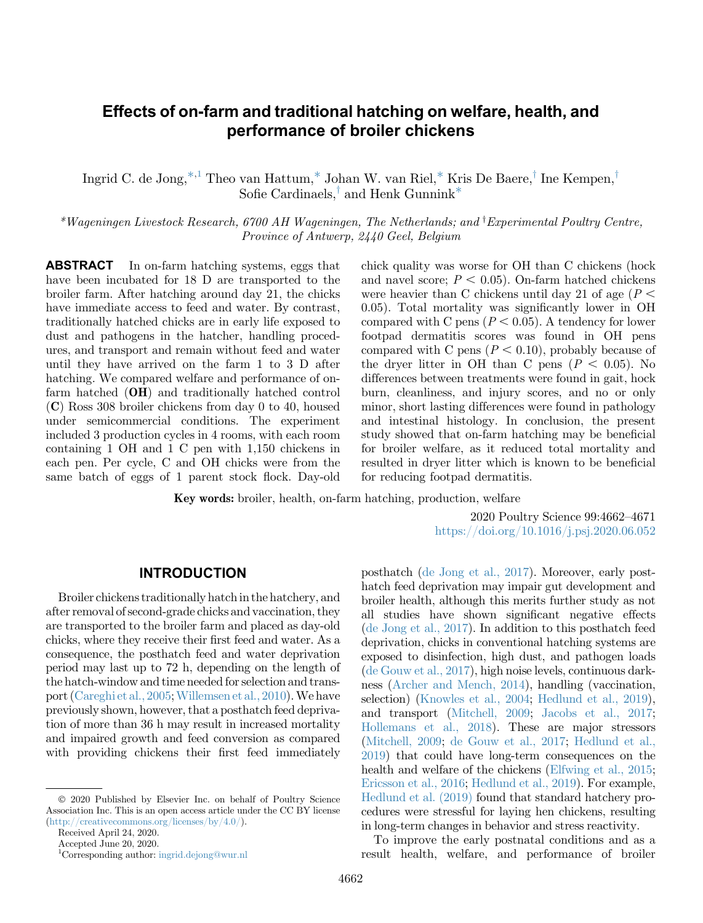# Effects of on-farm and traditional hatching on welfare, health, and performance of broiler chickens

Ingrid C. de Jong,  $*1$  $*1$  Theo van Hattum,  $*$  Johan W. van Riel,  $*$  Kris De Baere, Ine Kempen, Sofie Cardinaels,<sup>†</sup> and Henk Gunnink<sup>\*</sup>

<span id="page-0-0"></span>\*Wageningen Livestock Research, 6700 AH Wageningen, The Netherlands; and <sup>†</sup>Experimental Poultr[y](#page-0-0) Centre, Province of Antwerp, 2440 Geel, Belgium

ABSTRACT In on-farm hatching systems, eggs that have been incubated for 18 D are transported to the broiler farm. After hatching around day 21, the chicks have immediate access to feed and water. By contrast, traditionally hatched chicks are in early life exposed to dust and pathogens in the hatcher, handling procedures, and transport and remain without feed and water until they have arrived on the farm 1 to 3 D after hatching. We compared welfare and performance of onfarm hatched (OH) and traditionally hatched control (C) Ross 308 broiler chickens from day 0 to 40, housed under semicommercial conditions. The experiment included 3 production cycles in 4 rooms, with each room containing 1 OH and 1 C pen with 1,150 chickens in each pen. Per cycle, C and OH chicks were from the same batch of eggs of 1 parent stock flock. Day-old chick quality was worse for OH than C chickens (hock and navel score;  $P < 0.05$ ). On-farm hatched chickens were heavier than C chickens until day 21 of age  $(P <$ 0.05). Total mortality was significantly lower in OH compared with C pens ( $P < 0.05$ ). A tendency for lower footpad dermatitis scores was found in OH pens compared with C pens  $(P < 0.10)$ , probably because of the dryer litter in OH than C pens ( $P < 0.05$ ). No differences between treatments were found in gait, hock burn, cleanliness, and injury scores, and no or only minor, short lasting differences were found in pathology and intestinal histology. In conclusion, the present study showed that on-farm hatching may be beneficial for broiler welfare, as it reduced total mortality and resulted in dryer litter which is known to be beneficial for reducing footpad dermatitis.

Key words: broiler, health, on-farm hatching, production, welfare

2020 Poultry Science 99:4662–4671 <https://doi.org/10.1016/j.psj.2020.06.052>

### INTRODUCTION

Broiler chickens traditionally hatch in the hatchery, and after removal of second-grade chicks and vaccination, they are transported to the broiler farm and placed as day-old chicks, where they receive their first feed and water. As a consequence, the posthatch feed and water deprivation period may last up to 72 h, depending on the length of the hatch-window and time needed for selection and trans-port [\(Careghi et al., 2005](#page-8-0); [Willemsen et al., 2010\)](#page-9-0). We have previously shown, however, that a posthatch feed deprivation of more than 36 h may result in increased mortality and impaired growth and feed conversion as compared with providing chickens their first feed immediately

Received April 24, 2020.

posthatch [\(de Jong et al., 2017](#page-8-0)). Moreover, early posthatch feed deprivation may impair gut development and broiler health, although this merits further study as not all studies have shown significant negative effects [\(de Jong et al., 2017\)](#page-8-0). In addition to this posthatch feed deprivation, chicks in conventional hatching systems are exposed to disinfection, high dust, and pathogen loads [\(de Gouw et al., 2017](#page-8-0)), high noise levels, continuous darkness ([Archer and Mench, 2014](#page-8-0)), handling (vaccination, selection) [\(Knowles et al., 2004;](#page-8-0) [Hedlund et al., 2019](#page-8-0)), and transport ([Mitchell, 2009](#page-8-0); [Jacobs et al., 2017](#page-8-0); [Hollemans et al., 2018\)](#page-8-0). These are major stressors [\(Mitchell, 2009](#page-8-0); [de Gouw et al., 2017;](#page-8-0) [Hedlund et al.,](#page-8-0) [2019\)](#page-8-0) that could have long-term consequences on the health and welfare of the chickens [\(Elfwing et al., 2015](#page-8-0); [Ericsson et al., 2016](#page-8-0); [Hedlund et al., 2019\)](#page-8-0). For example, [Hedlund et al. \(2019\)](#page-8-0) found that standard hatchery procedures were stressful for laying hen chickens, resulting in long-term changes in behavior and stress reactivity.

To improve the early postnatal conditions and as a result health, welfare, and performance of broiler

2020 Published by Elsevier Inc. on behalf of Poultry Science Association Inc. This is an open access article under the CC BY license (<http://creativecommons.org/licenses/by/4.0/>).

Accepted June 20, 2020.

<span id="page-0-1"></span><sup>1</sup> Corresponding author: [ingrid.dejong@wur.nl](mailto:ingrid.dejong@wur.nl)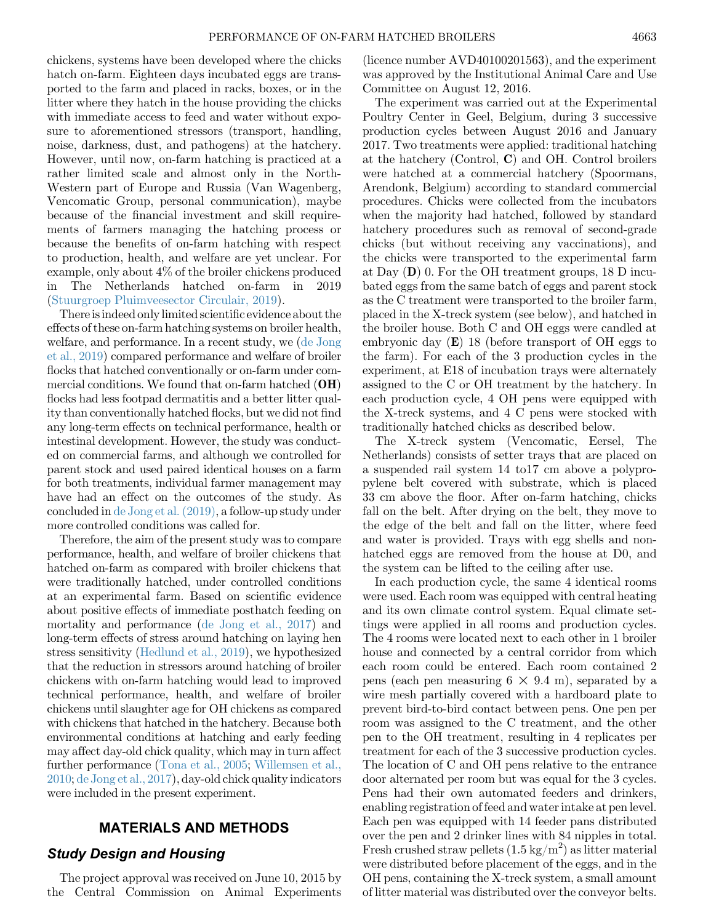chickens, systems have been developed where the chicks hatch on-farm. Eighteen days incubated eggs are transported to the farm and placed in racks, boxes, or in the litter where they hatch in the house providing the chicks with immediate access to feed and water without exposure to aforementioned stressors (transport, handling, noise, darkness, dust, and pathogens) at the hatchery. However, until now, on-farm hatching is practiced at a rather limited scale and almost only in the North-Western part of Europe and Russia (Van Wagenberg, Vencomatic Group, personal communication), maybe because of the financial investment and skill requirements of farmers managing the hatching process or because the benefits of on-farm hatching with respect to production, health, and welfare are yet unclear. For example, only about 4% of the broiler chickens produced in The Netherlands hatched on-farm in 2019 ([Stuurgroep Pluimveesector Circulair, 2019\)](#page-8-0).

There is indeed only limited scientific evidence about the effects of these on-farm hatching systems on broiler health, welfare, and performance. In a recent study, we [\(de Jong](#page-8-0) [et al., 2019](#page-8-0)) compared performance and welfare of broiler flocks that hatched conventionally or on-farm under commercial conditions. We found that on-farm hatched  $(OH)$ flocks had less footpad dermatitis and a better litter quality than conventionally hatched flocks, but we did not find any long-term effects on technical performance, health or intestinal development. However, the study was conducted on commercial farms, and although we controlled for parent stock and used paired identical houses on a farm for both treatments, individual farmer management may have had an effect on the outcomes of the study. As concluded in [de Jong et al. \(2019\),](#page-8-0) a follow-up study under more controlled conditions was called for.

Therefore, the aim of the present study was to compare performance, health, and welfare of broiler chickens that hatched on-farm as compared with broiler chickens that were traditionally hatched, under controlled conditions at an experimental farm. Based on scientific evidence about positive effects of immediate posthatch feeding on mortality and performance ([de Jong et al., 2017](#page-8-0)) and long-term effects of stress around hatching on laying hen stress sensitivity ([Hedlund et al., 2019\)](#page-8-0), we hypothesized that the reduction in stressors around hatching of broiler chickens with on-farm hatching would lead to improved technical performance, health, and welfare of broiler chickens until slaughter age for OH chickens as compared with chickens that hatched in the hatchery. Because both environmental conditions at hatching and early feeding may affect day-old chick quality, which may in turn affect further performance [\(Tona et al., 2005;](#page-8-0) [Willemsen et al.,](#page-9-0) [2010](#page-9-0); [de Jong et al., 2017\)](#page-8-0), day-old chick quality indicators were included in the present experiment.

### MATERIALS AND METHODS

#### Study Design and Housing

The project approval was received on June 10, 2015 by the Central Commission on Animal Experiments (licence number AVD40100201563), and the experiment was approved by the Institutional Animal Care and Use Committee on August 12, 2016.

The experiment was carried out at the Experimental Poultry Center in Geel, Belgium, during 3 successive production cycles between August 2016 and January 2017. Two treatments were applied: traditional hatching at the hatchery (Control, C) and OH. Control broilers were hatched at a commercial hatchery (Spoormans, Arendonk, Belgium) according to standard commercial procedures. Chicks were collected from the incubators when the majority had hatched, followed by standard hatchery procedures such as removal of second-grade chicks (but without receiving any vaccinations), and the chicks were transported to the experimental farm at Day  $(D)$  0. For the OH treatment groups, 18 D incubated eggs from the same batch of eggs and parent stock as the C treatment were transported to the broiler farm, placed in the X-treck system (see below), and hatched in the broiler house. Both C and OH eggs were candled at embryonic day (E) 18 (before transport of OH eggs to the farm). For each of the 3 production cycles in the experiment, at E18 of incubation trays were alternately assigned to the C or OH treatment by the hatchery. In each production cycle, 4 OH pens were equipped with the X-treck systems, and 4 C pens were stocked with traditionally hatched chicks as described below.

The X-treck system (Vencomatic, Eersel, The Netherlands) consists of setter trays that are placed on a suspended rail system 14 to17 cm above a polypropylene belt covered with substrate, which is placed 33 cm above the floor. After on-farm hatching, chicks fall on the belt. After drying on the belt, they move to the edge of the belt and fall on the litter, where feed and water is provided. Trays with egg shells and nonhatched eggs are removed from the house at D0, and the system can be lifted to the ceiling after use.

In each production cycle, the same 4 identical rooms were used. Each room was equipped with central heating and its own climate control system. Equal climate settings were applied in all rooms and production cycles. The 4 rooms were located next to each other in 1 broiler house and connected by a central corridor from which each room could be entered. Each room contained 2 pens (each pen measuring  $6 \times 9.4$  m), separated by a wire mesh partially covered with a hardboard plate to prevent bird-to-bird contact between pens. One pen per room was assigned to the C treatment, and the other pen to the OH treatment, resulting in 4 replicates per treatment for each of the 3 successive production cycles. The location of C and OH pens relative to the entrance door alternated per room but was equal for the 3 cycles. Pens had their own automated feeders and drinkers, enabling registration of feed and water intake at pen level. Each pen was equipped with 14 feeder pans distributed over the pen and 2 drinker lines with 84 nipples in total. Fresh crushed straw pellets  $(1.5 \text{ kg/m}^2)$  as litter material were distributed before placement of the eggs, and in the OH pens, containing the X-treck system, a small amount of litter material was distributed over the conveyor belts.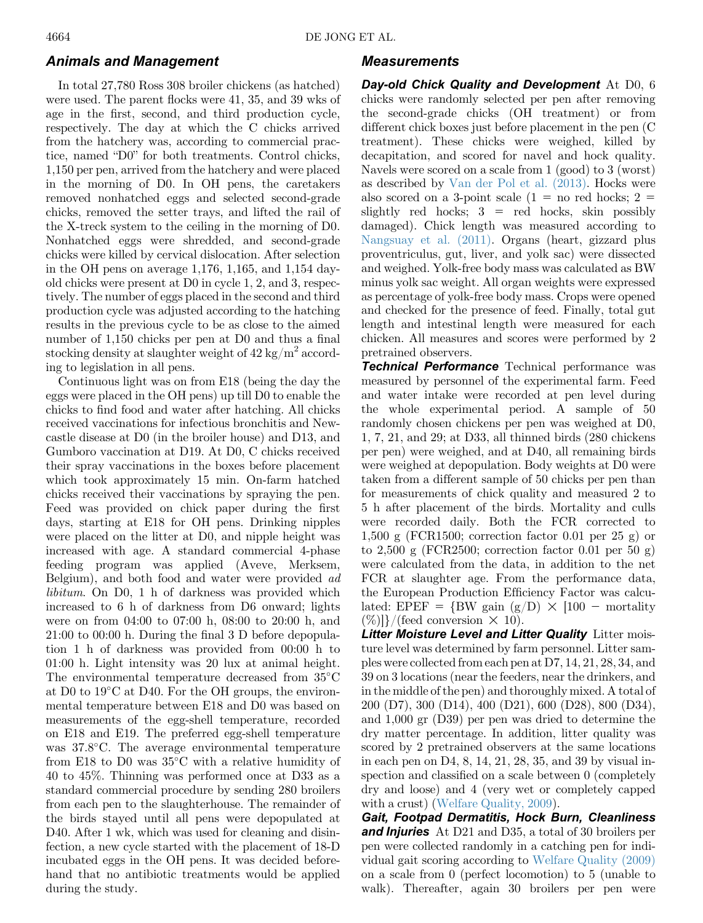### Animals and Management

In total 27,780 Ross 308 broiler chickens (as hatched) were used. The parent flocks were 41, 35, and 39 wks of age in the first, second, and third production cycle, respectively. The day at which the C chicks arrived from the hatchery was, according to commercial practice, named "D0" for both treatments. Control chicks, 1,150 per pen, arrived from the hatchery and were placed in the morning of D0. In OH pens, the caretakers removed nonhatched eggs and selected second-grade chicks, removed the setter trays, and lifted the rail of the X-treck system to the ceiling in the morning of D0. Nonhatched eggs were shredded, and second-grade chicks were killed by cervical dislocation. After selection in the OH pens on average 1,176, 1,165, and 1,154 dayold chicks were present at D0 in cycle 1, 2, and 3, respectively. The number of eggs placed in the second and third production cycle was adjusted according to the hatching results in the previous cycle to be as close to the aimed number of 1,150 chicks per pen at D0 and thus a final stocking density at slaughter weight of  $42 \text{ kg/m}^2$  according to legislation in all pens.

Continuous light was on from E18 (being the day the eggs were placed in the OH pens) up till D0 to enable the chicks to find food and water after hatching. All chicks received vaccinations for infectious bronchitis and Newcastle disease at D0 (in the broiler house) and D13, and Gumboro vaccination at D19. At D0, C chicks received their spray vaccinations in the boxes before placement which took approximately 15 min. On-farm hatched chicks received their vaccinations by spraying the pen. Feed was provided on chick paper during the first days, starting at E18 for OH pens. Drinking nipples were placed on the litter at D0, and nipple height was increased with age. A standard commercial 4-phase feeding program was applied (Aveve, Merksem, Belgium), and both food and water were provided ad libitum. On D0, 1 h of darkness was provided which increased to 6 h of darkness from D6 onward; lights were on from 04:00 to 07:00 h, 08:00 to 20:00 h, and 21:00 to 00:00 h. During the final 3 D before depopulation 1 h of darkness was provided from 00:00 h to 01:00 h. Light intensity was 20 lux at animal height. The environmental temperature decreased from 35°C at D0 to 19<sup>o</sup>C at D40. For the OH groups, the environmental temperature between E18 and D0 was based on measurements of the egg-shell temperature, recorded on E18 and E19. The preferred egg-shell temperature was 37.8°C. The average environmental temperature from E18 to D0 was  $35^{\circ}$ C with a relative humidity of 40 to 45%. Thinning was performed once at D33 as a standard commercial procedure by sending 280 broilers from each pen to the slaughterhouse. The remainder of the birds stayed until all pens were depopulated at D40. After 1 wk, which was used for cleaning and disinfection, a new cycle started with the placement of 18-D incubated eggs in the OH pens. It was decided beforehand that no antibiotic treatments would be applied during the study.

### Measurements

Day-old Chick Quality and Development At D0, 6 chicks were randomly selected per pen after removing the second-grade chicks (OH treatment) or from different chick boxes just before placement in the pen (C treatment). These chicks were weighed, killed by decapitation, and scored for navel and hock quality. Navels were scored on a scale from 1 (good) to 3 (worst) as described by [Van der Pol et al. \(2013\)](#page-9-0). Hocks were also scored on a 3-point scale  $(1 =$  no red hocks;  $2 =$ slightly red hocks;  $3 =$  red hocks, skin possibly damaged). Chick length was measured according to [Nangsuay et al. \(2011\).](#page-8-0) Organs (heart, gizzard plus proventriculus, gut, liver, and yolk sac) were dissected and weighed. Yolk-free body mass was calculated as BW minus yolk sac weight. All organ weights were expressed as percentage of yolk-free body mass. Crops were opened and checked for the presence of feed. Finally, total gut length and intestinal length were measured for each chicken. All measures and scores were performed by 2 pretrained observers.

Technical Performance Technical performance was measured by personnel of the experimental farm. Feed and water intake were recorded at pen level during the whole experimental period. A sample of 50 randomly chosen chickens per pen was weighed at D0, 1, 7, 21, and 29; at D33, all thinned birds (280 chickens per pen) were weighed, and at D40, all remaining birds were weighed at depopulation. Body weights at D0 were taken from a different sample of 50 chicks per pen than for measurements of chick quality and measured 2 to 5 h after placement of the birds. Mortality and culls were recorded daily. Both the FCR corrected to 1,500 g (FCR1500; correction factor 0.01 per 25 g) or to 2,500 g (FCR2500; correction factor 0.01 per 50 g) were calculated from the data, in addition to the net FCR at slaughter age. From the performance data, the European Production Efficiency Factor was calculated: EPEF =  $\{BW gain (g/D) \times [100 - mortality\}$  $(\%)$ }/(feed conversion  $\times$  10).

Litter Moisture Level and Litter Quality Litter moisture level was determined by farm personnel. Litter samples were collected from each pen at D7, 14, 21, 28, 34, and 39 on 3 locations (near the feeders, near the drinkers, and in the middle of the pen) and thoroughly mixed. A total of 200 (D7), 300 (D14), 400 (D21), 600 (D28), 800 (D34), and 1,000 gr (D39) per pen was dried to determine the dry matter percentage. In addition, litter quality was scored by 2 pretrained observers at the same locations in each pen on D4, 8, 14, 21, 28, 35, and 39 by visual inspection and classified on a scale between 0 (completely dry and loose) and 4 (very wet or completely capped with a crust) [\(Welfare Quality, 2009](#page-9-0)).

Gait, Footpad Dermatitis, Hock Burn, Cleanliness **and Injuries** At D21 and D35, a total of 30 broilers per pen were collected randomly in a catching pen for individual gait scoring according to [Welfare Quality \(2009\)](#page-9-0) on a scale from 0 (perfect locomotion) to 5 (unable to walk). Thereafter, again 30 broilers per pen were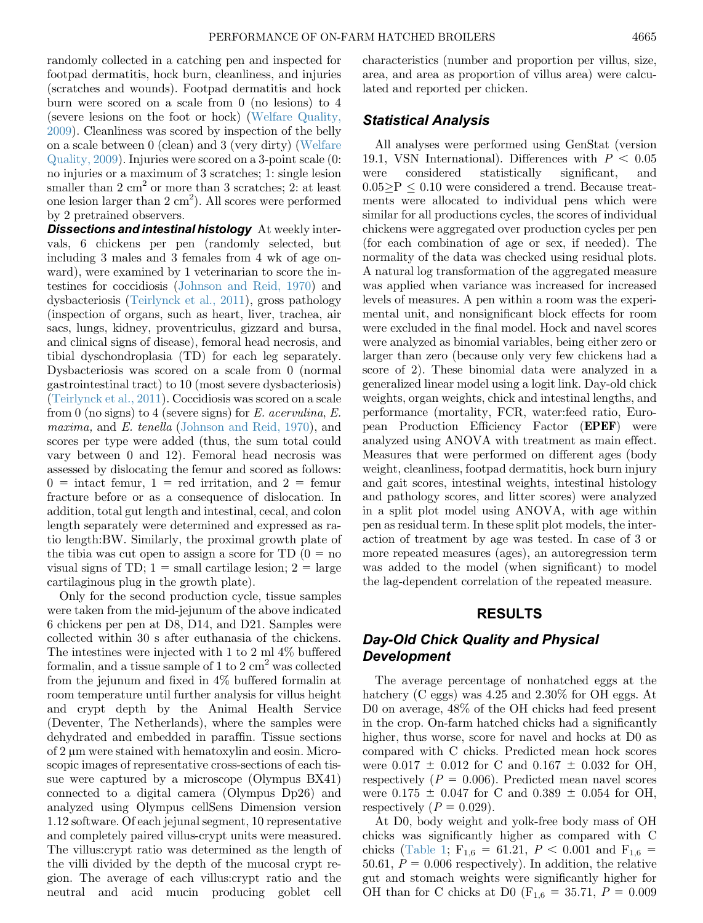randomly collected in a catching pen and inspected for footpad dermatitis, hock burn, cleanliness, and injuries (scratches and wounds). Footpad dermatitis and hock burn were scored on a scale from 0 (no lesions) to 4 (severe lesions on the foot or hock) ([Welfare Quality,](#page-9-0) [2009\)](#page-9-0). Cleanliness was scored by inspection of the belly on a scale between 0 (clean) and 3 (very dirty) [\(Welfare](#page-9-0) [Quality, 2009](#page-9-0)). Injuries were scored on a 3-point scale (0: no injuries or a maximum of 3 scratches; 1: single lesion smaller than  $2 \text{ cm}^2$  or more than  $3 \text{ scratches}; 2$ : at least one lesion larger than  $2 \text{ cm}^2$ ). All scores were performed by 2 pretrained observers.

**Dissections and intestinal histology** At weekly intervals, 6 chickens per pen (randomly selected, but including 3 males and 3 females from 4 wk of age onward), were examined by 1 veterinarian to score the intestines for coccidiosis [\(Johnson and Reid, 1970\)](#page-8-0) and dysbacteriosis [\(Teirlynck et al., 2011\)](#page-8-0), gross pathology (inspection of organs, such as heart, liver, trachea, air sacs, lungs, kidney, proventriculus, gizzard and bursa, and clinical signs of disease), femoral head necrosis, and tibial dyschondroplasia (TD) for each leg separately. Dysbacteriosis was scored on a scale from 0 (normal gastrointestinal tract) to 10 (most severe dysbacteriosis) ([Teirlynck et al., 2011\)](#page-8-0). Coccidiosis was scored on a scale from 0 (no signs) to 4 (severe signs) for  $E$ . acervulina,  $E$ . maxima, and E. tenella [\(Johnson and Reid, 1970](#page-8-0)), and scores per type were added (thus, the sum total could vary between 0 and 12). Femoral head necrosis was assessed by dislocating the femur and scored as follows:  $0 =$  intact femur,  $1 =$  red irritation, and  $2 =$  femur fracture before or as a consequence of dislocation. In addition, total gut length and intestinal, cecal, and colon length separately were determined and expressed as ratio length:BW. Similarly, the proximal growth plate of the tibia was cut open to assign a score for TD  $(0 = no$ visual signs of TD;  $1 = \text{small cartilage lesion}; 2 = \text{large}$ cartilaginous plug in the growth plate).

Only for the second production cycle, tissue samples were taken from the mid-jejunum of the above indicated 6 chickens per pen at D8, D14, and D21. Samples were collected within 30 s after euthanasia of the chickens. The intestines were injected with 1 to 2 ml 4% buffered formalin, and a tissue sample of 1 to 2  $\text{cm}^2$  was collected from the jejunum and fixed in 4% buffered formalin at room temperature until further analysis for villus height and crypt depth by the Animal Health Service (Deventer, The Netherlands), where the samples were dehydrated and embedded in paraffin. Tissue sections of  $2 \mu m$  were stained with hematoxylin and eosin. Microscopic images of representative cross-sections of each tissue were captured by a microscope (Olympus BX41) connected to a digital camera (Olympus Dp26) and analyzed using Olympus cellSens Dimension version 1.12 software. Of each jejunal segment, 10 representative and completely paired villus-crypt units were measured. The villus:crypt ratio was determined as the length of the villi divided by the depth of the mucosal crypt region. The average of each villus:crypt ratio and the neutral and acid mucin producing goblet cell characteristics (number and proportion per villus, size, area, and area as proportion of villus area) were calculated and reported per chicken.

#### Statistical Analysis

All analyses were performed using GenStat (version 19.1, VSN International). Differences with  $P < 0.05$ were considered statistically significant, and  $0.05$  P  $\leq$  0.10 were considered a trend. Because treatments were allocated to individual pens which were similar for all productions cycles, the scores of individual chickens were aggregated over production cycles per pen (for each combination of age or sex, if needed). The normality of the data was checked using residual plots. A natural log transformation of the aggregated measure was applied when variance was increased for increased levels of measures. A pen within a room was the experimental unit, and nonsignificant block effects for room were excluded in the final model. Hock and navel scores were analyzed as binomial variables, being either zero or larger than zero (because only very few chickens had a score of 2). These binomial data were analyzed in a generalized linear model using a logit link. Day-old chick weights, organ weights, chick and intestinal lengths, and performance (mortality, FCR, water:feed ratio, European Production Efficiency Factor (EPEF) were analyzed using ANOVA with treatment as main effect. Measures that were performed on different ages (body weight, cleanliness, footpad dermatitis, hock burn injury and gait scores, intestinal weights, intestinal histology and pathology scores, and litter scores) were analyzed in a split plot model using ANOVA, with age within pen as residual term. In these split plot models, the interaction of treatment by age was tested. In case of 3 or more repeated measures (ages), an autoregression term was added to the model (when significant) to model the lag-dependent correlation of the repeated measure.

### RESULTS

# Day-Old Chick Quality and Physical **Development**

The average percentage of nonhatched eggs at the hatchery (C eggs) was 4.25 and 2.30% for OH eggs. At D0 on average, 48% of the OH chicks had feed present in the crop. On-farm hatched chicks had a significantly higher, thus worse, score for navel and hocks at D0 as compared with C chicks. Predicted mean hock scores were  $0.017 \pm 0.012$  for C and  $0.167 \pm 0.032$  for OH, respectively  $(P = 0.006)$ . Predicted mean navel scores were  $0.175 \pm 0.047$  for C and  $0.389 \pm 0.054$  for OH, respectively  $(P = 0.029)$ .

At D0, body weight and yolk-free body mass of OH chicks was significantly higher as compared with C chicks [\(Table 1;](#page-4-0)  $F_{1,6} = 61.21, P < 0.001$  and  $F_{1,6} =$ 50.61,  $P = 0.006$  respectively). In addition, the relative gut and stomach weights were significantly higher for OH than for C chicks at D0 ( $F_{1,6} = 35.71, P = 0.009$ )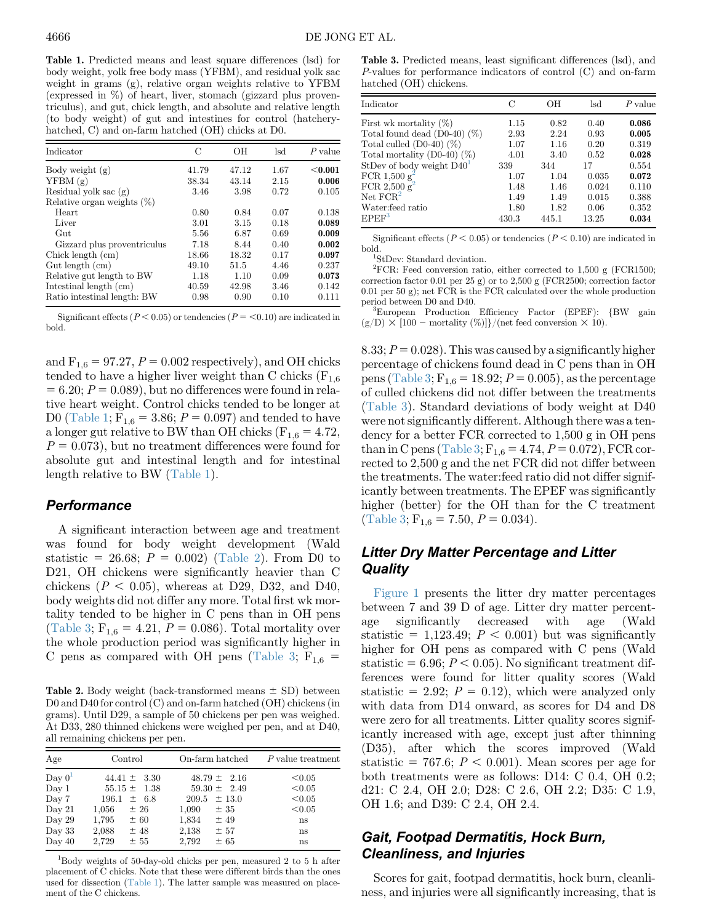<span id="page-4-0"></span>Table 1. Predicted means and least square differences (lsd) for body weight, yolk free body mass (YFBM), and residual yolk sac weight in grams (g), relative organ weights relative to YFBM (expressed in %) of heart, liver, stomach (gizzard plus proventriculus), and gut, chick length, and absolute and relative length (to body weight) of gut and intestines for control (hatcheryhatched, C) and on-farm hatched (OH) chicks at D0.

| Indicator                     | C     | OН    | lsd  | $P$ value |
|-------------------------------|-------|-------|------|-----------|
| Body weight(g)                | 41.79 | 47.12 | 1.67 | $<$ 0.001 |
| YFBM(g)                       | 38.34 | 43.14 | 2.15 | 0.006     |
| Residual yolk sac $(g)$       | 3.46  | 3.98  | 0.72 | 0.105     |
| Relative organ weights $(\%)$ |       |       |      |           |
| Heart                         | 0.80  | 0.84  | 0.07 | 0.138     |
| Liver                         | 3.01  | 3.15  | 0.18 | 0.089     |
| G <sub>11</sub> t             | 5.56  | 6.87  | 0.69 | 0.009     |
| Gizzard plus proventriculus   | 7.18  | 8.44  | 0.40 | 0.002     |
| Chick length (cm)             | 18.66 | 18.32 | 0.17 | 0.097     |
| Gut length (cm)               | 49.10 | 51.5  | 4.46 | 0.237     |
| Relative gut length to BW     | 1.18  | 1.10  | 0.09 | 0.073     |
| Intestinal length $(cm)$      | 40.59 | 42.98 | 3.46 | 0.142     |
| Ratio intestinal length: BW   | 0.98  | 0.90  | 0.10 | 0.111     |

Significant effects ( $P < 0.05$ ) or tendencies ( $P = < 0.10$ ) are indicated in bold.

and  $F_{1,6} = 97.27$ ,  $P = 0.002$  respectively), and OH chicks tended to have a higher liver weight than C chicks  $(F_{1,6})$  $= 6.20; P = 0.089$ , but no differences were found in relative heart weight. Control chicks tended to be longer at D0 ([Table 1](#page-4-0);  $F_{1,6} = 3.86$ ;  $P = 0.097$ ) and tended to have a longer gut relative to BW than OH chicks ( $F_{1,6} = 4.72$ ,  $P = 0.073$ , but no treatment differences were found for absolute gut and intestinal length and for intestinal length relative to BW [\(Table 1\)](#page-4-0).

#### **Performance**

A significant interaction between age and treatment was found for body weight development (Wald statistic = 26.68;  $P = 0.002$ ) ([Table 2\)](#page-4-1). From D0 to D21, OH chickens were significantly heavier than C chickens ( $P < 0.05$ ), whereas at D29, D32, and D40, body weights did not differ any more. Total first wk mortality tended to be higher in C pens than in OH pens ([Table 3](#page-4-2);  $F_{1,6} = 4.21, P = 0.086$ ). Total mortality over the whole production period was significantly higher in C pens as compared with OH pens [\(Table 3](#page-4-2);  $F_{1,6}$  =

<span id="page-4-1"></span>**Table 2.** Body weight (back-transformed means  $\pm$  SD) between D0 and D40 for control (C) and on-farm hatched (OH) chickens (in grams). Until D29, a sample of 50 chickens per pen was weighed. At D33, 280 thinned chickens were weighed per pen, and at D40, all remaining chickens per pen.

| Age                                                                          | Control                                                                                                                       | On-farm hatched                                                                                                                | P value treatment                                      |
|------------------------------------------------------------------------------|-------------------------------------------------------------------------------------------------------------------------------|--------------------------------------------------------------------------------------------------------------------------------|--------------------------------------------------------|
| Day 0 <sup>1</sup><br>Day 1<br>Day 7<br>Day 21<br>Day 29<br>Day 33<br>Day 40 | $44.41 \pm 3.30$<br>$55.15 \pm 1.38$<br>$\pm$ 6.8<br>196.1<br>± 26<br>1,056<br>1,795<br>± 60<br>±48<br>2,088<br>2,729<br>± 55 | $48.79 \pm 2.16$<br>$59.30 \pm 2.49$<br>$209.5 \pm 13.0$<br>1,090<br>± 35<br>1,834<br>$±$ 49<br>2,138<br>± 57<br>2,792<br>± 65 | < 0.05<br>< 0.05<br>< 0.05<br>< 0.05<br>ns<br>ns<br>ns |

<span id="page-4-3"></span>1 Body weights of 50-day-old chicks per pen, measured 2 to 5 h after placement of C chicks. Note that these were different birds than the ones used for dissection [\(Table 1\)](#page-4-0). The latter sample was measured on placement of the C chickens.

<span id="page-4-2"></span>Table 3. Predicted means, least significant differences (lsd), and P-values for performance indicators of control (C) and on-farm hatched (OH) chickens.

| Indicator                         | €        | OН    | lsd   | $P$ value |
|-----------------------------------|----------|-------|-------|-----------|
| First wk mortality $(\%)$         | $1.15\,$ | 0.82  | 0.40  | 0.086     |
| Total found dead $(D0-40)$ $(\%)$ | 2.93     | 2.24  | 0.93  | 0.005     |
| Total culled $(D0-40)$ $(\%)$     | 1.07     | 1.16  | 0.20  | 0.319     |
| Total mortality $(D0-40)$ $(\%)$  | 4.01     | 3.40  | 0.52  | 0.028     |
| StDev of body weight $D40T$       | 339      | 344   | 17    | 0.554     |
| FCR 1,500 $g^2$                   | 1.07     | 1.04  | 0.035 | 0.072     |
| FCR 2,500 $g^2$                   | 1.48     | 1.46  | 0.024 | 0.110     |
| Net FCR <sup>2</sup>              | 1.49     | 1.49  | 0.015 | 0.388     |
| Water: feed ratio                 | 1.80     | 1.82  | 0.06  | 0.352     |
| EPEF <sup>3</sup>                 | 430.3    | 445.1 | 13.25 | 0.034     |

Significant effects ( $P < 0.05$ ) or tendencies ( $P < 0.10$ ) are indicated in bold. <sup>1</sup>

<span id="page-4-4"></span>StDev: Standard deviation.

<span id="page-4-5"></span><sup>2</sup>FCR: Feed conversion ratio, either corrected to  $1,500 \text{ g}$  (FCR1500; correction factor 0.01 per 25 g) or to 2,500 g (FCR2500; correction factor 0.01 per 50 g); net FCR is the FCR calculated over the whole production period between D0 and D40.

<span id="page-4-6"></span><sup>3</sup>European Production Efficiency Factor (EPEF): {BW gain  $(g/D) \times [100$  – mortality  $(\%)$ ]}/(net feed conversion  $\times$  10).

8.33;  $P = 0.028$ . This was caused by a significantly higher percentage of chickens found dead in C pens than in OH pens [\(Table 3](#page-4-2);  $F_{1,6} = 18.92$ ;  $P = 0.005$ ), as the percentage of culled chickens did not differ between the treatments [\(Table 3\)](#page-4-2). Standard deviations of body weight at D40 were not significantly different. Although there was a tendency for a better FCR corrected to 1,500 g in OH pens than in C pens [\(Table 3](#page-4-2);  $F_{1,6} = 4.74, P = 0.072$ ), FCR corrected to 2,500 g and the net FCR did not differ between the treatments. The water:feed ratio did not differ significantly between treatments. The EPEF was significantly higher (better) for the OH than for the C treatment [\(Table 3](#page-4-2);  $F_{1,6} = 7.50, P = 0.034$ ).

# Litter Dry Matter Percentage and Litter **Quality**

[Figure 1](#page-5-0) presents the litter dry matter percentages between 7 and 39 D of age. Litter dry matter percentage significantly decreased with age (Wald statistic = 1,123.49;  $P < 0.001$ ) but was significantly higher for OH pens as compared with C pens (Wald statistic = 6.96;  $P < 0.05$ ). No significant treatment differences were found for litter quality scores (Wald statistic = 2.92;  $P = 0.12$ ), which were analyzed only with data from D14 onward, as scores for D4 and D8 were zero for all treatments. Litter quality scores significantly increased with age, except just after thinning (D35), after which the scores improved (Wald statistic = 767.6;  $P < 0.001$ ). Mean scores per age for both treatments were as follows: D14: C 0.4, OH 0.2; d21: C 2.4, OH 2.0; D28: C 2.6, OH 2.2; D35: C 1.9, OH 1.6; and D39: C 2.4, OH 2.4.

# Gait, Footpad Dermatitis, Hock Burn, Cleanliness, and Injuries

Scores for gait, footpad dermatitis, hock burn, cleanliness, and injuries were all significantly increasing, that is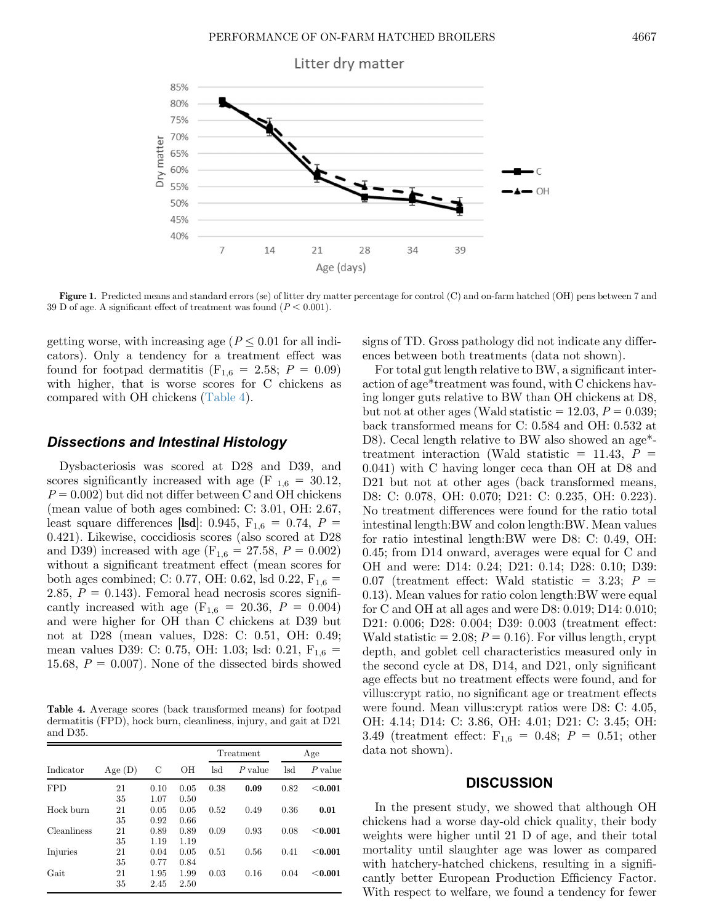<span id="page-5-0"></span>

Figure 1. Predicted means and standard errors (se) of litter dry matter percentage for control (C) and on-farm hatched (OH) pens between 7 and 39 D of age. A significant effect of treatment was found  $(P < 0.001)$ .

getting worse, with increasing age ( $P \leq 0.01$  for all indicators). Only a tendency for a treatment effect was found for footpad dermatitis ( $F_{1,6} = 2.58; P = 0.09$ ) with higher, that is worse scores for C chickens as compared with OH chickens (Table 4).

### Dissections and Intestinal Histology

Dysbacteriosis was scored at D28 and D39, and scores significantly increased with age (F  $_{1,6}$  = 30.12,  $P = 0.002$ ) but did not differ between C and OH chickens (mean value of both ages combined: C: 3.01, OH: 2.67, least square differences [lsd]: 0.945,  $F_{1,6} = 0.74$ ,  $P =$ 0.421). Likewise, coccidiosis scores (also scored at D28 and D39) increased with age (F<sub>1,6</sub> = 27.58, P = 0.002) without a significant treatment effect (mean scores for both ages combined; C: 0.77, OH: 0.62, lsd 0.22,  $F_{1,6}$  = 2.85,  $P = 0.143$ . Femoral head necrosis scores significantly increased with age  $(F_{1,6} = 20.36, P = 0.004)$ and were higher for OH than C chickens at D39 but not at D28 (mean values, D28: C: 0.51, OH: 0.49; mean values D39: C: 0.75, OH: 1.03; lsd: 0.21,  $F_{1,6}$  = 15.68,  $P = 0.007$ . None of the dissected birds showed

Table 4. Average scores (back transformed means) for footpad dermatitis (FPD), hock burn, cleanliness, injury, and gait at D21 and D35.

| Indicator   | Age(D)   | С            | OН           | Treatment |           | Age  |           |
|-------------|----------|--------------|--------------|-----------|-----------|------|-----------|
|             |          |              |              | lsd       | $P$ value | lsd  | $P$ value |
| <b>FPD</b>  | 21<br>35 | 0.10<br>1.07 | 0.05<br>0.50 | 0.38      | 0.09      | 0.82 | < 0.001   |
| Hock burn   | 21<br>35 | 0.05<br>0.92 | 0.05<br>0.66 | 0.52      | 0.49      | 0.36 | 0.01      |
| Cleanliness | 21<br>35 | 0.89<br>1.19 | 0.89<br>1.19 | 0.09      | 0.93      | 0.08 | < 0.001   |
| Injuries    | 21<br>35 | 0.04<br>0.77 | 0.05<br>0.84 | 0.51      | 0.56      | 0.41 | < 0.001   |
| Gait        | 21<br>35 | 1.95<br>2.45 | 1.99<br>2.50 | 0.03      | 0.16      | 0.04 | < 0.001   |

signs of TD. Gross pathology did not indicate any differences between both treatments (data not shown).

For total gut length relative to BW, a significant interaction of age\*treatment was found, with C chickens having longer guts relative to BW than OH chickens at D8, but not at other ages (Wald statistic  $= 12.03, P = 0.039;$ back transformed means for C: 0.584 and OH: 0.532 at D8). Cecal length relative to BW also showed an age\* treatment interaction (Wald statistic  $= 11.43, P =$ 0.041) with C having longer ceca than OH at D8 and D21 but not at other ages (back transformed means, D8: C: 0.078, OH: 0.070; D21: C: 0.235, OH: 0.223). No treatment differences were found for the ratio total intestinal length:BW and colon length:BW. Mean values for ratio intestinal length:BW were D8: C: 0.49, OH: 0.45; from D14 onward, averages were equal for C and OH and were: D14: 0.24; D21: 0.14; D28: 0.10; D39: 0.07 (treatment effect: Wald statistic  $= 3.23; P =$ 0.13). Mean values for ratio colon length:BW were equal for C and OH at all ages and were D8: 0.019; D14: 0.010; D21: 0.006; D28: 0.004; D39: 0.003 (treatment effect: Wald statistic = 2.08;  $P = 0.16$ ). For villus length, crypt depth, and goblet cell characteristics measured only in the second cycle at D8, D14, and D21, only significant age effects but no treatment effects were found, and for villus:crypt ratio, no significant age or treatment effects were found. Mean villus:crypt ratios were D8: C: 4.05, OH: 4.14; D14: C: 3.86, OH: 4.01; D21: C: 3.45; OH: 3.49 (treatment effect:  $F_{1,6} = 0.48; P = 0.51;$  other data not shown).

#### **DISCUSSION**

In the present study, we showed that although OH chickens had a worse day-old chick quality, their body weights were higher until 21 D of age, and their total mortality until slaughter age was lower as compared with hatchery-hatched chickens, resulting in a significantly better European Production Efficiency Factor. With respect to welfare, we found a tendency for fewer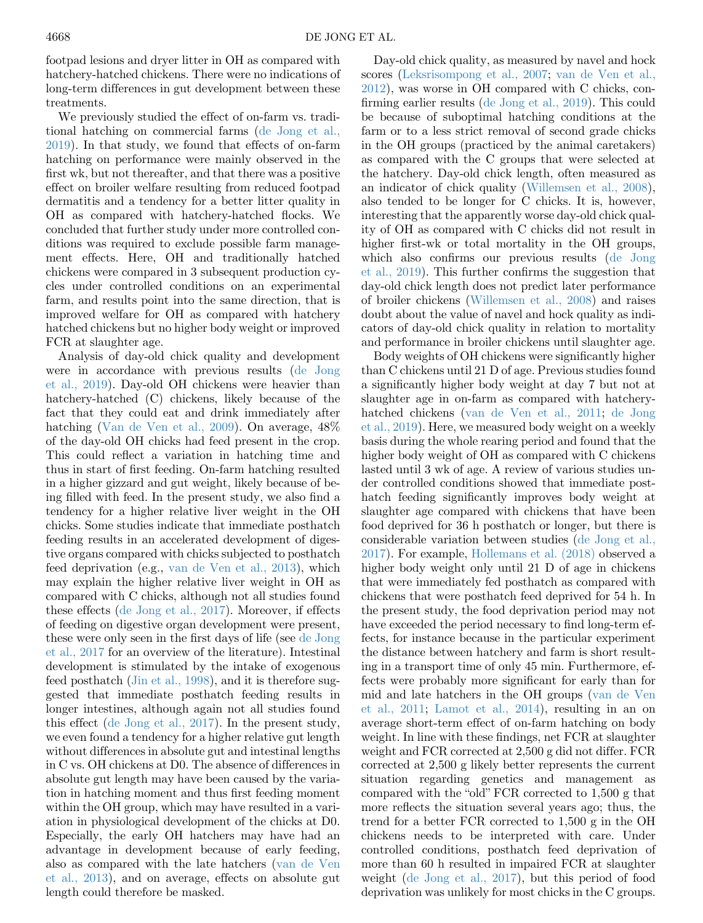footpad lesions and dryer litter in OH as compared with hatchery-hatched chickens. There were no indications of long-term differences in gut development between these treatments.

We previously studied the effect of on-farm vs. traditional hatching on commercial farms ([de Jong et al.,](#page-8-0) [2019\)](#page-8-0). In that study, we found that effects of on-farm hatching on performance were mainly observed in the first wk, but not thereafter, and that there was a positive effect on broiler welfare resulting from reduced footpad dermatitis and a tendency for a better litter quality in OH as compared with hatchery-hatched flocks. We concluded that further study under more controlled conditions was required to exclude possible farm management effects. Here, OH and traditionally hatched chickens were compared in 3 subsequent production cycles under controlled conditions on an experimental farm, and results point into the same direction, that is improved welfare for OH as compared with hatchery hatched chickens but no higher body weight or improved FCR at slaughter age.

Analysis of day-old chick quality and development were in accordance with previous results ([de Jong](#page-8-0) [et al., 2019](#page-8-0)). Day-old OH chickens were heavier than hatchery-hatched (C) chickens, likely because of the fact that they could eat and drink immediately after hatching [\(Van de Ven et al., 2009\)](#page-9-0). On average, 48% of the day-old OH chicks had feed present in the crop. This could reflect a variation in hatching time and thus in start of first feeding. On-farm hatching resulted in a higher gizzard and gut weight, likely because of being filled with feed. In the present study, we also find a tendency for a higher relative liver weight in the OH chicks. Some studies indicate that immediate posthatch feeding results in an accelerated development of digestive organs compared with chicks subjected to posthatch feed deprivation (e.g., [van de Ven et al., 2013](#page-8-0)), which may explain the higher relative liver weight in OH as compared with C chicks, although not all studies found these effects [\(de Jong et al., 2017](#page-8-0)). Moreover, if effects of feeding on digestive organ development were present, these were only seen in the first days of life (see [de Jong](#page-8-0) [et al., 2017](#page-8-0) for an overview of the literature). Intestinal development is stimulated by the intake of exogenous feed posthatch [\(Jin et al., 1998\)](#page-8-0), and it is therefore suggested that immediate posthatch feeding results in longer intestines, although again not all studies found this effect [\(de Jong et al., 2017\)](#page-8-0). In the present study, we even found a tendency for a higher relative gut length without differences in absolute gut and intestinal lengths in C vs. OH chickens at D0. The absence of differences in absolute gut length may have been caused by the variation in hatching moment and thus first feeding moment within the OH group, which may have resulted in a variation in physiological development of the chicks at D0. Especially, the early OH hatchers may have had an advantage in development because of early feeding, also as compared with the late hatchers [\(van de Ven](#page-8-0) [et al., 2013\)](#page-8-0), and on average, effects on absolute gut length could therefore be masked.

Day-old chick quality, as measured by navel and hock scores [\(Leksrisompong et al., 2007](#page-8-0); [van de Ven et al.,](#page-9-0) [2012](#page-9-0)), was worse in OH compared with C chicks, confirming earlier results ([de Jong et al., 2019](#page-8-0)). This could be because of suboptimal hatching conditions at the farm or to a less strict removal of second grade chicks in the OH groups (practiced by the animal caretakers) as compared with the C groups that were selected at the hatchery. Day-old chick length, often measured as an indicator of chick quality [\(Willemsen et al., 2008](#page-9-0)), also tended to be longer for C chicks. It is, however, interesting that the apparently worse day-old chick quality of OH as compared with C chicks did not result in higher first-wk or total mortality in the OH groups, which also confirms our previous results ([de Jong](#page-8-0) [et al., 2019](#page-8-0)). This further confirms the suggestion that day-old chick length does not predict later performance of broiler chickens ([Willemsen et al., 2008\)](#page-9-0) and raises doubt about the value of navel and hock quality as indicators of day-old chick quality in relation to mortality and performance in broiler chickens until slaughter age.

Body weights of OH chickens were significantly higher than C chickens until 21 D of age. Previous studies found a significantly higher body weight at day 7 but not at slaughter age in on-farm as compared with hatcheryhatched chickens ([van de Ven et al., 2011](#page-8-0); [de Jong](#page-8-0) [et al., 2019](#page-8-0)). Here, we measured body weight on a weekly basis during the whole rearing period and found that the higher body weight of OH as compared with C chickens lasted until 3 wk of age. A review of various studies under controlled conditions showed that immediate posthatch feeding significantly improves body weight at slaughter age compared with chickens that have been food deprived for 36 h posthatch or longer, but there is considerable variation between studies ([de Jong et al.,](#page-8-0) [2017](#page-8-0)). For example, [Hollemans et al. \(2018\)](#page-8-0) observed a higher body weight only until 21 D of age in chickens that were immediately fed posthatch as compared with chickens that were posthatch feed deprived for 54 h. In the present study, the food deprivation period may not have exceeded the period necessary to find long-term effects, for instance because in the particular experiment the distance between hatchery and farm is short resulting in a transport time of only 45 min. Furthermore, effects were probably more significant for early than for mid and late hatchers in the OH groups [\(van de Ven](#page-8-0) [et al., 2011](#page-8-0); [Lamot et al., 2014\)](#page-8-0), resulting in an on average short-term effect of on-farm hatching on body weight. In line with these findings, net FCR at slaughter weight and FCR corrected at 2,500 g did not differ. FCR corrected at 2,500 g likely better represents the current situation regarding genetics and management as compared with the "old" FCR corrected to 1,500 g that more reflects the situation several years ago; thus, the trend for a better FCR corrected to 1,500 g in the OH chickens needs to be interpreted with care. Under controlled conditions, posthatch feed deprivation of more than 60 h resulted in impaired FCR at slaughter weight ([de Jong et al., 2017](#page-8-0)), but this period of food deprivation was unlikely for most chicks in the C groups.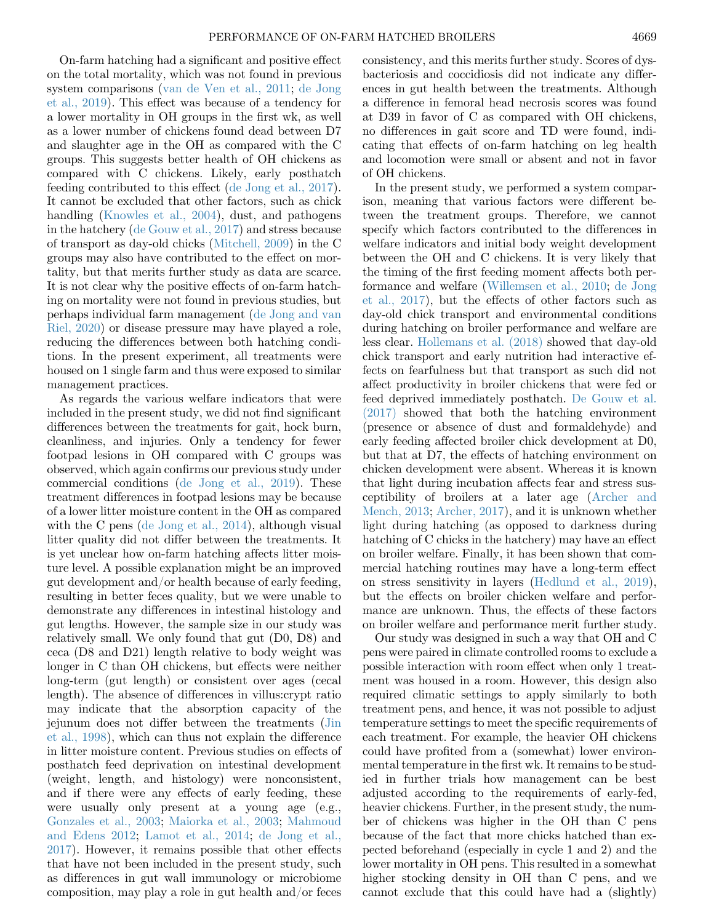On-farm hatching had a significant and positive effect on the total mortality, which was not found in previous system comparisons ([van de Ven et al., 2011;](#page-8-0) [de Jong](#page-8-0) [et al., 2019\)](#page-8-0). This effect was because of a tendency for a lower mortality in OH groups in the first wk, as well as a lower number of chickens found dead between D7 and slaughter age in the OH as compared with the C groups. This suggests better health of OH chickens as compared with C chickens. Likely, early posthatch feeding contributed to this effect [\(de Jong et al., 2017\)](#page-8-0). It cannot be excluded that other factors, such as chick handling ([Knowles et al., 2004](#page-8-0)), dust, and pathogens in the hatchery [\(de Gouw et al., 2017\)](#page-8-0) and stress because of transport as day-old chicks [\(Mitchell, 2009\)](#page-8-0) in the C groups may also have contributed to the effect on mortality, but that merits further study as data are scarce. It is not clear why the positive effects of on-farm hatching on mortality were not found in previous studies, but perhaps individual farm management [\(de Jong and van](#page-8-0) [Riel, 2020](#page-8-0)) or disease pressure may have played a role, reducing the differences between both hatching conditions. In the present experiment, all treatments were housed on 1 single farm and thus were exposed to similar management practices.

As regards the various welfare indicators that were included in the present study, we did not find significant differences between the treatments for gait, hock burn, cleanliness, and injuries. Only a tendency for fewer footpad lesions in OH compared with C groups was observed, which again confirms our previous study under commercial conditions [\(de Jong et al., 2019](#page-8-0)). These treatment differences in footpad lesions may be because of a lower litter moisture content in the OH as compared with the C pens [\(de Jong et al., 2014](#page-8-0)), although visual litter quality did not differ between the treatments. It is yet unclear how on-farm hatching affects litter moisture level. A possible explanation might be an improved gut development and/or health because of early feeding, resulting in better feces quality, but we were unable to demonstrate any differences in intestinal histology and gut lengths. However, the sample size in our study was relatively small. We only found that gut (D0, D8) and ceca (D8 and D21) length relative to body weight was longer in C than OH chickens, but effects were neither long-term (gut length) or consistent over ages (cecal length). The absence of differences in villus:crypt ratio may indicate that the absorption capacity of the jejunum does not differ between the treatments [\(Jin](#page-8-0) [et al., 1998](#page-8-0)), which can thus not explain the difference in litter moisture content. Previous studies on effects of posthatch feed deprivation on intestinal development (weight, length, and histology) were nonconsistent, and if there were any effects of early feeding, these were usually only present at a young age (e.g., [Gonzales et al., 2003](#page-8-0); [Maiorka et al., 2003;](#page-8-0) [Mahmoud](#page-8-0) [and Edens 2012](#page-8-0); [Lamot et al., 2014;](#page-8-0) [de Jong et al.,](#page-8-0) [2017\)](#page-8-0). However, it remains possible that other effects that have not been included in the present study, such as differences in gut wall immunology or microbiome composition, may play a role in gut health and/or feces

consistency, and this merits further study. Scores of dysbacteriosis and coccidiosis did not indicate any differences in gut health between the treatments. Although a difference in femoral head necrosis scores was found at D39 in favor of C as compared with OH chickens, no differences in gait score and TD were found, indicating that effects of on-farm hatching on leg health and locomotion were small or absent and not in favor of OH chickens.

In the present study, we performed a system comparison, meaning that various factors were different between the treatment groups. Therefore, we cannot specify which factors contributed to the differences in welfare indicators and initial body weight development between the OH and C chickens. It is very likely that the timing of the first feeding moment affects both performance and welfare ([Willemsen et al., 2010](#page-9-0); [de Jong](#page-8-0) [et al., 2017\)](#page-8-0), but the effects of other factors such as day-old chick transport and environmental conditions during hatching on broiler performance and welfare are less clear. [Hollemans et al. \(2018\)](#page-8-0) showed that day-old chick transport and early nutrition had interactive effects on fearfulness but that transport as such did not affect productivity in broiler chickens that were fed or feed deprived immediately posthatch. [De Gouw et al.](#page-8-0) [\(2017\)](#page-8-0) showed that both the hatching environment (presence or absence of dust and formaldehyde) and early feeding affected broiler chick development at D0, but that at D7, the effects of hatching environment on chicken development were absent. Whereas it is known that light during incubation affects fear and stress susceptibility of broilers at a later age ([Archer and](#page-8-0) [Mench, 2013](#page-8-0); [Archer, 2017](#page-8-0)), and it is unknown whether light during hatching (as opposed to darkness during hatching of C chicks in the hatchery) may have an effect on broiler welfare. Finally, it has been shown that commercial hatching routines may have a long-term effect on stress sensitivity in layers [\(Hedlund et al., 2019](#page-8-0)), but the effects on broiler chicken welfare and performance are unknown. Thus, the effects of these factors on broiler welfare and performance merit further study.

Our study was designed in such a way that OH and C pens were paired in climate controlled rooms to exclude a possible interaction with room effect when only 1 treatment was housed in a room. However, this design also required climatic settings to apply similarly to both treatment pens, and hence, it was not possible to adjust temperature settings to meet the specific requirements of each treatment. For example, the heavier OH chickens could have profited from a (somewhat) lower environmental temperature in the first wk. It remains to be studied in further trials how management can be best adjusted according to the requirements of early-fed, heavier chickens. Further, in the present study, the number of chickens was higher in the OH than C pens because of the fact that more chicks hatched than expected beforehand (especially in cycle 1 and 2) and the lower mortality in OH pens. This resulted in a somewhat higher stocking density in OH than C pens, and we cannot exclude that this could have had a (slightly)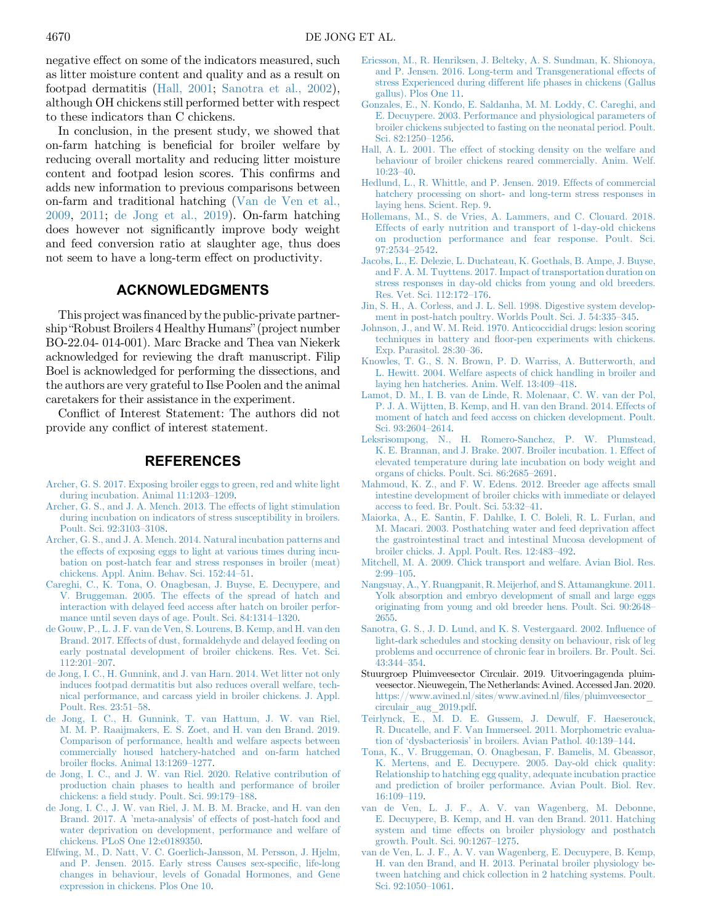<span id="page-8-0"></span>negative effect on some of the indicators measured, such as litter moisture content and quality and as a result on footpad dermatitis (Hall, 2001; Sanotra et al., 2002), although OH chickens still performed better with respect to these indicators than C chickens.

In conclusion, in the present study, we showed that on-farm hatching is beneficial for broiler welfare by reducing overall mortality and reducing litter moisture content and footpad lesion scores. This confirms and adds new information to previous comparisons between on-farm and traditional hatching [\(Van de Ven et al.,](#page-9-0) [2009,](#page-9-0) 2011; de Jong et al., 2019). On-farm hatching does however not significantly improve body weight and feed conversion ratio at slaughter age, thus does not seem to have a long-term effect on productivity.

### ACKNOWLEDGMENTS

This project was financed by the public-private partnership "Robust Broilers 4 Healthy Humans"(project number BO-22.04- 014-001). Marc Bracke and Thea van Niekerk acknowledged for reviewing the draft manuscript. Filip Boel is acknowledged for performing the dissections, and the authors are very grateful to Ilse Poolen and the animal caretakers for their assistance in the experiment.

Conflict of Interest Statement: The authors did not provide any conflict of interest statement.

### REFERENCES

- [Archer, G. S. 2017. Exposing broiler eggs to green, red and white light](http://refhub.elsevier.com/S0032-5791(20)30417-X/sref1) [during incubation. Animal 11:1203](http://refhub.elsevier.com/S0032-5791(20)30417-X/sref1)–1209.
- [Archer, G. S., and J. A. Mench. 2013. The effects of light stimulation](http://refhub.elsevier.com/S0032-5791(20)30417-X/sref2) [during incubation on indicators of stress susceptibility in broilers.](http://refhub.elsevier.com/S0032-5791(20)30417-X/sref2) [Poult. Sci. 92:3103](http://refhub.elsevier.com/S0032-5791(20)30417-X/sref2)–3108.
- [Archer, G. S., and J. A. Mench. 2014. Natural incubation patterns and](http://refhub.elsevier.com/S0032-5791(20)30417-X/sref3) [the effects of exposing eggs to light at various times during incu](http://refhub.elsevier.com/S0032-5791(20)30417-X/sref3)[bation on post-hatch fear and stress responses in broiler \(meat\)](http://refhub.elsevier.com/S0032-5791(20)30417-X/sref3) [chickens. Appl. Anim. Behav. Sci. 152:44](http://refhub.elsevier.com/S0032-5791(20)30417-X/sref3)–51.
- [Careghi, C., K. Tona, O. Onagbesan, J. Buyse, E. Decuypere, and](http://refhub.elsevier.com/S0032-5791(20)30417-X/sref4) [V. Bruggeman. 2005. The effects of the spread of hatch and](http://refhub.elsevier.com/S0032-5791(20)30417-X/sref4) [interaction with delayed feed access after hatch on broiler perfor](http://refhub.elsevier.com/S0032-5791(20)30417-X/sref4)[mance until seven days of age. Poult. Sci. 84:1314](http://refhub.elsevier.com/S0032-5791(20)30417-X/sref4)–1320.
- [de Gouw, P., L. J. F. van de Ven, S. Lourens, B. Kemp, and H. van den](http://refhub.elsevier.com/S0032-5791(20)30417-X/sref5) [Brand. 2017. Effects of dust, formaldehyde and delayed feeding on](http://refhub.elsevier.com/S0032-5791(20)30417-X/sref5) [early postnatal development of broiler chickens. Res. Vet. Sci.](http://refhub.elsevier.com/S0032-5791(20)30417-X/sref5) [112:201](http://refhub.elsevier.com/S0032-5791(20)30417-X/sref5)–207.
- [de Jong, I. C., H. Gunnink, and J. van Harn. 2014. Wet litter not only](http://refhub.elsevier.com/S0032-5791(20)30417-X/sref6) [induces footpad dermatitis but also reduces overall welfare, tech](http://refhub.elsevier.com/S0032-5791(20)30417-X/sref6)[nical performance, and carcass yield in broiler chickens. J. Appl.](http://refhub.elsevier.com/S0032-5791(20)30417-X/sref6) [Poult. Res. 23:51](http://refhub.elsevier.com/S0032-5791(20)30417-X/sref6)–58.
- [de Jong, I. C., H. Gunnink, T. van Hattum, J. W. van Riel,](http://refhub.elsevier.com/S0032-5791(20)30417-X/sref7) [M. M. P. Raaijmakers, E. S. Zoet, and H. van den Brand. 2019.](http://refhub.elsevier.com/S0032-5791(20)30417-X/sref7) [Comparison of performance, health and welfare aspects between](http://refhub.elsevier.com/S0032-5791(20)30417-X/sref7) [commercially housed hatchery-hatched and on-farm hatched](http://refhub.elsevier.com/S0032-5791(20)30417-X/sref7) broiler fl[ocks. Animal 13:1269](http://refhub.elsevier.com/S0032-5791(20)30417-X/sref7)–1277.
- [de Jong, I. C., and J. W. van Riel. 2020. Relative contribution of](http://refhub.elsevier.com/S0032-5791(20)30417-X/sref8) [production chain phases to health and performance of broiler](http://refhub.elsevier.com/S0032-5791(20)30417-X/sref8) chickens: a fi[eld study. Poult. Sci. 99:179](http://refhub.elsevier.com/S0032-5791(20)30417-X/sref8)–188.
- [de Jong, I. C., J. W. van Riel, J. M. B. M. Bracke, and H. van den](http://refhub.elsevier.com/S0032-5791(20)30417-X/sref9) Brand. 2017. A 'meta-analysis' [of effects of post-hatch food and](http://refhub.elsevier.com/S0032-5791(20)30417-X/sref9) [water deprivation on development, performance and welfare of](http://refhub.elsevier.com/S0032-5791(20)30417-X/sref9) [chickens. PLoS One 12:e0189350.](http://refhub.elsevier.com/S0032-5791(20)30417-X/sref9)
- [Elfwing, M., D. Natt, V. C. Goerlich-Jansson, M. Persson, J. Hjelm,](http://refhub.elsevier.com/S0032-5791(20)30417-X/sref10) [and P. Jensen. 2015. Early stress Causes sex-speci](http://refhub.elsevier.com/S0032-5791(20)30417-X/sref10)fic, life-long [changes in behaviour, levels of Gonadal Hormones, and Gene](http://refhub.elsevier.com/S0032-5791(20)30417-X/sref10) [expression in chickens. Plos One 10.](http://refhub.elsevier.com/S0032-5791(20)30417-X/sref10)
- [Ericsson, M., R. Henriksen, J. Belteky, A. S. Sundman, K. Shionoya,](http://refhub.elsevier.com/S0032-5791(20)30417-X/sref11) [and P. Jensen. 2016. Long-term and Transgenerational effects of](http://refhub.elsevier.com/S0032-5791(20)30417-X/sref11) [stress Experienced during different life phases in chickens \(Gallus](http://refhub.elsevier.com/S0032-5791(20)30417-X/sref11) [gallus\). Plos One 11.](http://refhub.elsevier.com/S0032-5791(20)30417-X/sref11)
- [Gonzales, E., N. Kondo, E. Saldanha, M. M. Loddy, C. Careghi, and](http://refhub.elsevier.com/S0032-5791(20)30417-X/sref12) [E. Decuypere. 2003. Performance and physiological parameters of](http://refhub.elsevier.com/S0032-5791(20)30417-X/sref12) [broiler chickens subjected to fasting on the neonatal period. Poult.](http://refhub.elsevier.com/S0032-5791(20)30417-X/sref12) [Sci. 82:1250](http://refhub.elsevier.com/S0032-5791(20)30417-X/sref12)–1256.
- [Hall, A. L. 2001. The effect of stocking density on the welfare and](http://refhub.elsevier.com/S0032-5791(20)30417-X/sref13) [behaviour of broiler chickens reared commercially. Anim. Welf.](http://refhub.elsevier.com/S0032-5791(20)30417-X/sref13) [10:23](http://refhub.elsevier.com/S0032-5791(20)30417-X/sref13)–40.
- [Hedlund, L., R. Whittle, and P. Jensen. 2019. Effects of commercial](http://refhub.elsevier.com/S0032-5791(20)30417-X/sref14) [hatchery processing on short- and long-term stress responses in](http://refhub.elsevier.com/S0032-5791(20)30417-X/sref14) [laying hens. Scient. Rep. 9](http://refhub.elsevier.com/S0032-5791(20)30417-X/sref14).
- [Hollemans, M., S. de Vries, A. Lammers, and C. Clouard. 2018.](http://refhub.elsevier.com/S0032-5791(20)30417-X/sref15) [Effects of early nutrition and transport of 1-day-old chickens](http://refhub.elsevier.com/S0032-5791(20)30417-X/sref15) [on production performance and fear response. Poult. Sci.](http://refhub.elsevier.com/S0032-5791(20)30417-X/sref15) [97:2534](http://refhub.elsevier.com/S0032-5791(20)30417-X/sref15)–2542.
- [Jacobs, L., E. Delezie, L. Duchateau, K. Goethals, B. Ampe, J. Buyse,](http://refhub.elsevier.com/S0032-5791(20)30417-X/sref16) [and F. A. M. Tuyttens. 2017. Impact of transportation duration on](http://refhub.elsevier.com/S0032-5791(20)30417-X/sref16) [stress responses in day-old chicks from young and old breeders.](http://refhub.elsevier.com/S0032-5791(20)30417-X/sref16) [Res. Vet. Sci. 112:172](http://refhub.elsevier.com/S0032-5791(20)30417-X/sref16)–176.
- [Jin, S. H., A. Corless, and J. L. Sell. 1998. Digestive system develop](http://refhub.elsevier.com/S0032-5791(20)30417-X/sref17)[ment in post-hatch poultry. Worlds Poult. Sci. J. 54:335](http://refhub.elsevier.com/S0032-5791(20)30417-X/sref17)–345.
- [Johnson, J., and W. M. Reid. 1970. Anticoccidial drugs: lesion scoring](http://refhub.elsevier.com/S0032-5791(20)30417-X/sref18) techniques in battery and fl[oor-pen experiments with chickens.](http://refhub.elsevier.com/S0032-5791(20)30417-X/sref18) [Exp. Parasitol. 28:30](http://refhub.elsevier.com/S0032-5791(20)30417-X/sref18)–36.
- [Knowles, T. G., S. N. Brown, P. D. Warriss, A. Butterworth, and](http://refhub.elsevier.com/S0032-5791(20)30417-X/sref19) [L. Hewitt. 2004. Welfare aspects of chick handling in broiler and](http://refhub.elsevier.com/S0032-5791(20)30417-X/sref19) [laying hen hatcheries. Anim. Welf. 13:409](http://refhub.elsevier.com/S0032-5791(20)30417-X/sref19)–418.
- [Lamot, D. M., I. B. van de Linde, R. Molenaar, C. W. van der Pol,](http://refhub.elsevier.com/S0032-5791(20)30417-X/sref20) [P. J. A. Wijtten, B. Kemp, and H. van den Brand. 2014. Effects of](http://refhub.elsevier.com/S0032-5791(20)30417-X/sref20) [moment of hatch and feed access on chicken development. Poult.](http://refhub.elsevier.com/S0032-5791(20)30417-X/sref20) [Sci. 93:2604](http://refhub.elsevier.com/S0032-5791(20)30417-X/sref20)–2614.
- [Leksrisompong, N., H. Romero-Sanchez, P. W. Plumstead,](http://refhub.elsevier.com/S0032-5791(20)30417-X/sref21) [K. E. Brannan, and J. Brake. 2007. Broiler incubation. 1. Effect of](http://refhub.elsevier.com/S0032-5791(20)30417-X/sref21) [elevated temperature during late incubation on body weight and](http://refhub.elsevier.com/S0032-5791(20)30417-X/sref21) [organs of chicks. Poult. Sci. 86:2685](http://refhub.elsevier.com/S0032-5791(20)30417-X/sref21)–2691.
- [Mahmoud, K. Z., and F. W. Edens. 2012. Breeder age affects small](http://refhub.elsevier.com/S0032-5791(20)30417-X/sref22) [intestine development of broiler chicks with immediate or delayed](http://refhub.elsevier.com/S0032-5791(20)30417-X/sref22) [access to feed. Br. Poult. Sci. 53:32](http://refhub.elsevier.com/S0032-5791(20)30417-X/sref22)–41.
- [Maiorka, A., E. Santin, F. Dahlke, I. C. Boleli, R. L. Furlan, and](http://refhub.elsevier.com/S0032-5791(20)30417-X/sref23) [M. Macari. 2003. Posthatching water and feed deprivation affect](http://refhub.elsevier.com/S0032-5791(20)30417-X/sref23) [the gastrointestinal tract and intestinal Mucosa development of](http://refhub.elsevier.com/S0032-5791(20)30417-X/sref23) [broiler chicks. J. Appl. Poult. Res. 12:483](http://refhub.elsevier.com/S0032-5791(20)30417-X/sref23)–492.
- [Mitchell, M. A. 2009. Chick transport and welfare. Avian Biol. Res.](http://refhub.elsevier.com/S0032-5791(20)30417-X/sref24) [2:99](http://refhub.elsevier.com/S0032-5791(20)30417-X/sref24)–105.
- [Nangsuay, A., Y. Ruangpanit, R. Meijerhof, and S. Attamangkune. 2011.](http://refhub.elsevier.com/S0032-5791(20)30417-X/sref25) [Yolk absorption and embryo development of small and large eggs](http://refhub.elsevier.com/S0032-5791(20)30417-X/sref25) [originating from young and old breeder hens. Poult. Sci. 90:2648](http://refhub.elsevier.com/S0032-5791(20)30417-X/sref25)– [2655.](http://refhub.elsevier.com/S0032-5791(20)30417-X/sref25)
- [Sanotra, G. S., J. D. Lund, and K. S. Vestergaard. 2002. In](http://refhub.elsevier.com/S0032-5791(20)30417-X/sref26)fluence of [light-dark schedules and stocking density on behaviour, risk of leg](http://refhub.elsevier.com/S0032-5791(20)30417-X/sref26) [problems and occurrence of chronic fear in broilers. Br. Poult. Sci.](http://refhub.elsevier.com/S0032-5791(20)30417-X/sref26) [43:344](http://refhub.elsevier.com/S0032-5791(20)30417-X/sref26)–354.
- Stuurgroep Pluimveesector Circulair. 2019. Uitvoeringagenda pluimveesector. Nieuwegein, The Netherlands: Avined. Accessed Jan. 2020. [https://www.avined.nl/sites/www.avined.nl/](https://www.avined.nl/sites/www.avined.nl/files/pluimveesector_circulair_aug_2019.pdf)files/pluimveesector\_ [circulair\\_aug\\_2019.pdf](https://www.avined.nl/sites/www.avined.nl/files/pluimveesector_circulair_aug_2019.pdf).
- [Teirlynck, E., M. D. E. Gussem, J. Dewulf, F. Haeserouck,](http://refhub.elsevier.com/S0032-5791(20)30417-X/sref28) [R. Ducatelle, and F. Van Immerseel. 2011. Morphometric evalua](http://refhub.elsevier.com/S0032-5791(20)30417-X/sref28)tion of 'dysbacteriosis' [in broilers. Avian Pathol. 40:139](http://refhub.elsevier.com/S0032-5791(20)30417-X/sref28)–144.
- [Tona, K., V. Bruggeman, O. Onagbesan, F. Bamelis, M. Gbeassor,](http://refhub.elsevier.com/S0032-5791(20)30417-X/sref29) [K. Mertens, and E. Decuypere. 2005. Day-old chick quality:](http://refhub.elsevier.com/S0032-5791(20)30417-X/sref29) [Relationship to hatching egg quality, adequate incubation practice](http://refhub.elsevier.com/S0032-5791(20)30417-X/sref29) [and prediction of broiler performance. Avian Poult. Biol. Rev.](http://refhub.elsevier.com/S0032-5791(20)30417-X/sref29) [16:109](http://refhub.elsevier.com/S0032-5791(20)30417-X/sref29)–119.
- [van de Ven, L. J. F., A. V. van Wagenberg, M. Debonne,](http://refhub.elsevier.com/S0032-5791(20)30417-X/sref30) [E. Decuypere, B. Kemp, and H. van den Brand. 2011. Hatching](http://refhub.elsevier.com/S0032-5791(20)30417-X/sref30) [system and time effects on broiler physiology and posthatch](http://refhub.elsevier.com/S0032-5791(20)30417-X/sref30) [growth. Poult. Sci. 90:1267](http://refhub.elsevier.com/S0032-5791(20)30417-X/sref30)–1275.
- [van de Ven, L. J. F., A. V. van Wagenberg, E. Decuypere, B. Kemp,](http://refhub.elsevier.com/S0032-5791(20)30417-X/sref31) [H. van den Brand, and H. 2013. Perinatal broiler physiology be](http://refhub.elsevier.com/S0032-5791(20)30417-X/sref31)[tween hatching and chick collection in 2 hatching systems. Poult.](http://refhub.elsevier.com/S0032-5791(20)30417-X/sref31) [Sci. 92:1050](http://refhub.elsevier.com/S0032-5791(20)30417-X/sref31)–1061.